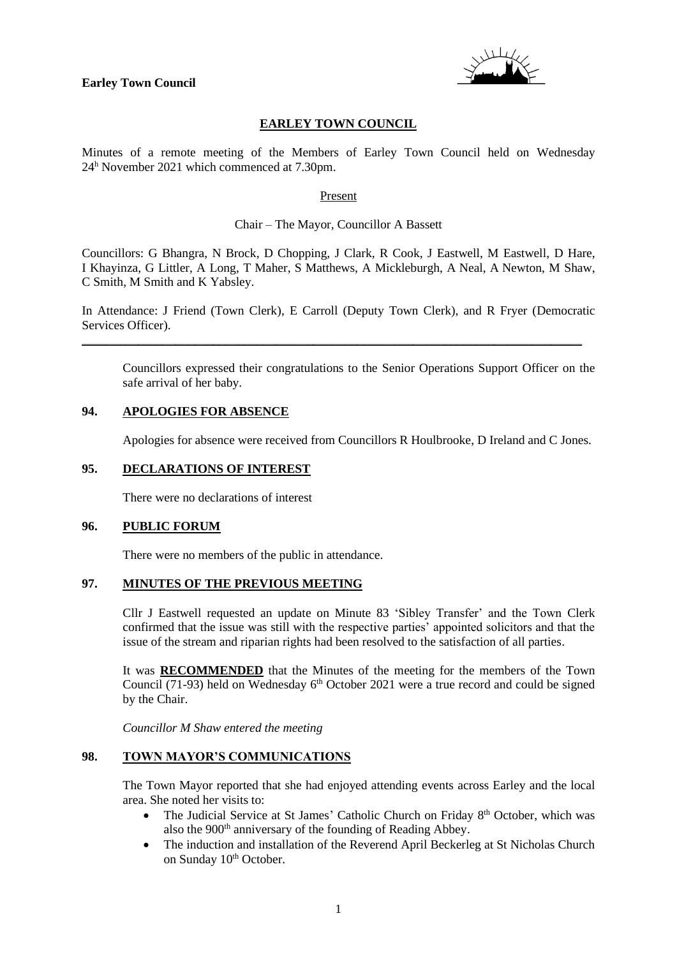

## **EARLEY TOWN COUNCIL**

Minutes of a remote meeting of the Members of Earley Town Council held on Wednesday 24<sup>h</sup> November 2021 which commenced at 7.30pm.

#### Present

### Chair – The Mayor, Councillor A Bassett

Councillors: G Bhangra, N Brock, D Chopping, J Clark, R Cook, J Eastwell, M Eastwell, D Hare, I Khayinza, G Littler, A Long, T Maher, S Matthews, A Mickleburgh, A Neal, A Newton, M Shaw, C Smith, M Smith and K Yabsley.

In Attendance: J Friend (Town Clerk), E Carroll (Deputy Town Clerk), and R Fryer (Democratic Services Officer).

\_\_\_\_\_\_\_\_\_\_\_\_\_\_\_\_\_\_\_\_\_\_\_\_\_\_\_\_\_\_\_\_\_\_\_\_\_\_\_\_\_\_\_\_\_\_\_\_\_\_\_\_\_\_\_\_\_\_\_\_\_\_\_\_\_\_\_\_\_\_\_\_\_\_\_\_\_\_\_\_

Councillors expressed their congratulations to the Senior Operations Support Officer on the safe arrival of her baby.

### **94. APOLOGIES FOR ABSENCE**

Apologies for absence were received from Councillors R Houlbrooke, D Ireland and C Jones.

### **95. DECLARATIONS OF INTEREST**

There were no declarations of interest

### **96. PUBLIC FORUM**

There were no members of the public in attendance.

## **97. MINUTES OF THE PREVIOUS MEETING**

Cllr J Eastwell requested an update on Minute 83 'Sibley Transfer' and the Town Clerk confirmed that the issue was still with the respective parties' appointed solicitors and that the issue of the stream and riparian rights had been resolved to the satisfaction of all parties.

It was **RECOMMENDED** that the Minutes of the meeting for the members of the Town Council (71-93) held on Wednesday 6<sup>th</sup> October 2021 were a true record and could be signed by the Chair.

*Councillor M Shaw entered the meeting*

### **98. TOWN MAYOR'S COMMUNICATIONS**

The Town Mayor reported that she had enjoyed attending events across Earley and the local area. She noted her visits to:

- The Judicial Service at St James' Catholic Church on Friday 8<sup>th</sup> October, which was also the 900<sup>th</sup> anniversary of the founding of Reading Abbey.
- The induction and installation of the Reverend April Beckerleg at St Nicholas Church on Sunday 10<sup>th</sup> October.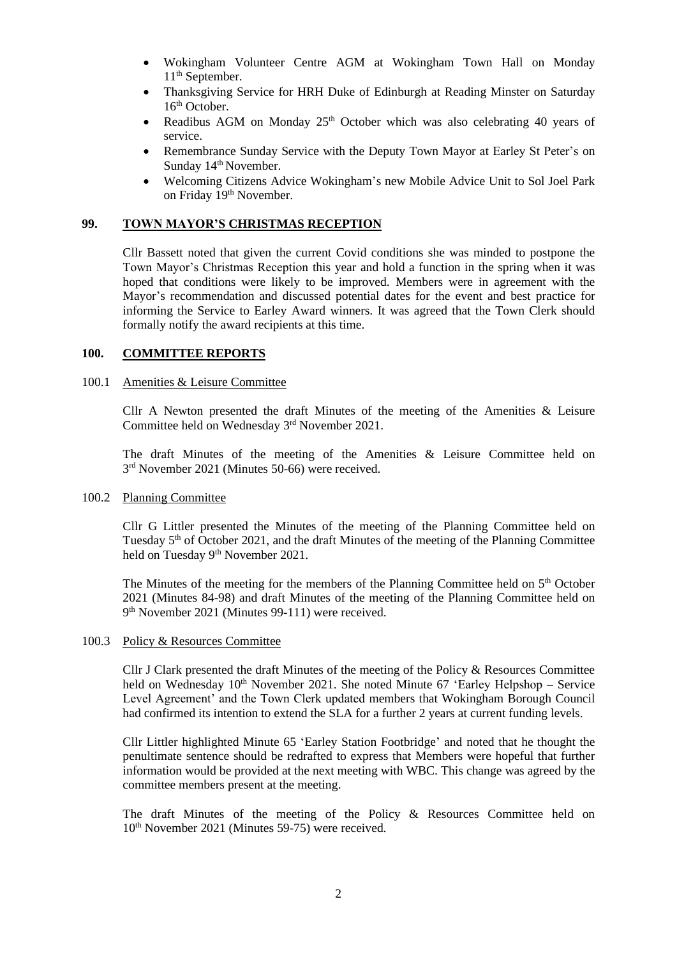- Wokingham Volunteer Centre AGM at Wokingham Town Hall on Monday 11<sup>th</sup> September.
- Thanksgiving Service for HRH Duke of Edinburgh at Reading Minster on Saturday 16<sup>th</sup> October.
- Readibus AGM on Monday 25<sup>th</sup> October which was also celebrating 40 years of service.
- Remembrance Sunday Service with the Deputy Town Mayor at Earley St Peter's on Sunday 14<sup>th</sup> November.
- Welcoming Citizens Advice Wokingham's new Mobile Advice Unit to Sol Joel Park on Friday 19<sup>th</sup> November.

## **99. TOWN MAYOR'S CHRISTMAS RECEPTION**

Cllr Bassett noted that given the current Covid conditions she was minded to postpone the Town Mayor's Christmas Reception this year and hold a function in the spring when it was hoped that conditions were likely to be improved. Members were in agreement with the Mayor's recommendation and discussed potential dates for the event and best practice for informing the Service to Earley Award winners. It was agreed that the Town Clerk should formally notify the award recipients at this time.

### **100. COMMITTEE REPORTS**

#### 100.1 Amenities & Leisure Committee

Cllr A Newton presented the draft Minutes of the meeting of the Amenities  $\&$  Leisure Committee held on Wednesday 3<sup>rd</sup> November 2021.

The draft Minutes of the meeting of the Amenities & Leisure Committee held on 3 rd November 2021 (Minutes 50-66) were received.

#### 100.2 Planning Committee

Cllr G Littler presented the Minutes of the meeting of the Planning Committee held on Tuesday 5<sup>th</sup> of October 2021, and the draft Minutes of the meeting of the Planning Committee held on Tuesday 9<sup>th</sup> November 2021.

The Minutes of the meeting for the members of the Planning Committee held on  $5<sup>th</sup>$  October 2021 (Minutes 84-98) and draft Minutes of the meeting of the Planning Committee held on 9 th November 2021 (Minutes 99-111) were received.

#### 100.3 Policy & Resources Committee

Cllr J Clark presented the draft Minutes of the meeting of the Policy & Resources Committee held on Wednesday  $10<sup>th</sup>$  November 2021. She noted Minute 67 'Earley Helpshop – Service Level Agreement' and the Town Clerk updated members that Wokingham Borough Council had confirmed its intention to extend the SLA for a further 2 years at current funding levels.

Cllr Littler highlighted Minute 65 'Earley Station Footbridge' and noted that he thought the penultimate sentence should be redrafted to express that Members were hopeful that further information would be provided at the next meeting with WBC. This change was agreed by the committee members present at the meeting.

The draft Minutes of the meeting of the Policy & Resources Committee held on 10th November 2021 (Minutes 59-75) were received.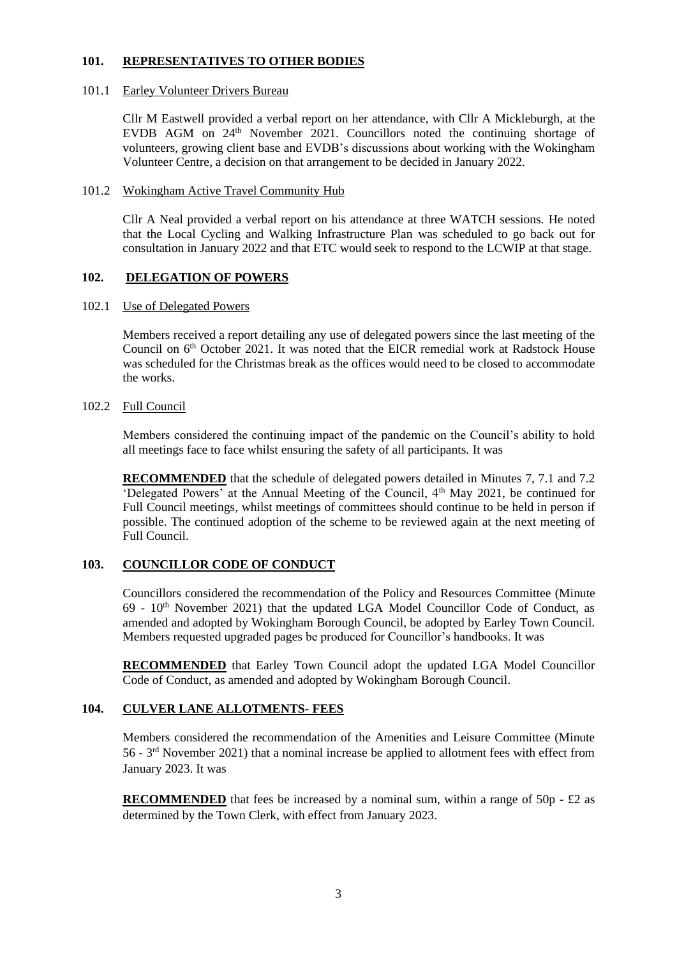## **101. REPRESENTATIVES TO OTHER BODIES**

### 101.1 Earley Volunteer Drivers Bureau

Cllr M Eastwell provided a verbal report on her attendance, with Cllr A Mickleburgh, at the EVDB AGM on  $24<sup>th</sup>$  November 2021. Councillors noted the continuing shortage of volunteers, growing client base and EVDB's discussions about working with the Wokingham Volunteer Centre, a decision on that arrangement to be decided in January 2022.

# 101.2 Wokingham Active Travel Community Hub

Cllr A Neal provided a verbal report on his attendance at three WATCH sessions. He noted that the Local Cycling and Walking Infrastructure Plan was scheduled to go back out for consultation in January 2022 and that ETC would seek to respond to the LCWIP at that stage.

# **102. DELEGATION OF POWERS**

# 102.1 Use of Delegated Powers

Members received a report detailing any use of delegated powers since the last meeting of the Council on 6<sup>th</sup> October 2021. It was noted that the EICR remedial work at Radstock House was scheduled for the Christmas break as the offices would need to be closed to accommodate the works.

# 102.2 Full Council

Members considered the continuing impact of the pandemic on the Council's ability to hold all meetings face to face whilst ensuring the safety of all participants. It was

**RECOMMENDED** that the schedule of delegated powers detailed in Minutes 7, 7.1 and 7.2  $\overline{C}$  Delegated Powers' at the Annual Meeting of the Council,  $4<sup>th</sup>$  May 2021, be continued for Full Council meetings, whilst meetings of committees should continue to be held in person if possible. The continued adoption of the scheme to be reviewed again at the next meeting of Full Council.

# **103. COUNCILLOR CODE OF CONDUCT**

Councillors considered the recommendation of the Policy and Resources Committee (Minute 69 - 10th November 2021) that the updated LGA Model Councillor Code of Conduct, as amended and adopted by Wokingham Borough Council, be adopted by Earley Town Council. Members requested upgraded pages be produced for Councillor's handbooks. It was

**RECOMMENDED** that Earley Town Council adopt the updated LGA Model Councillor Code of Conduct, as amended and adopted by Wokingham Borough Council.

# **104. CULVER LANE ALLOTMENTS- FEES**

Members considered the recommendation of the Amenities and Leisure Committee (Minute 56 - 3<sup>rd</sup> November 2021) that a nominal increase be applied to allotment fees with effect from January 2023. It was

**RECOMMENDED** that fees be increased by a nominal sum, within a range of  $50p - £2$  as determined by the Town Clerk, with effect from January 2023.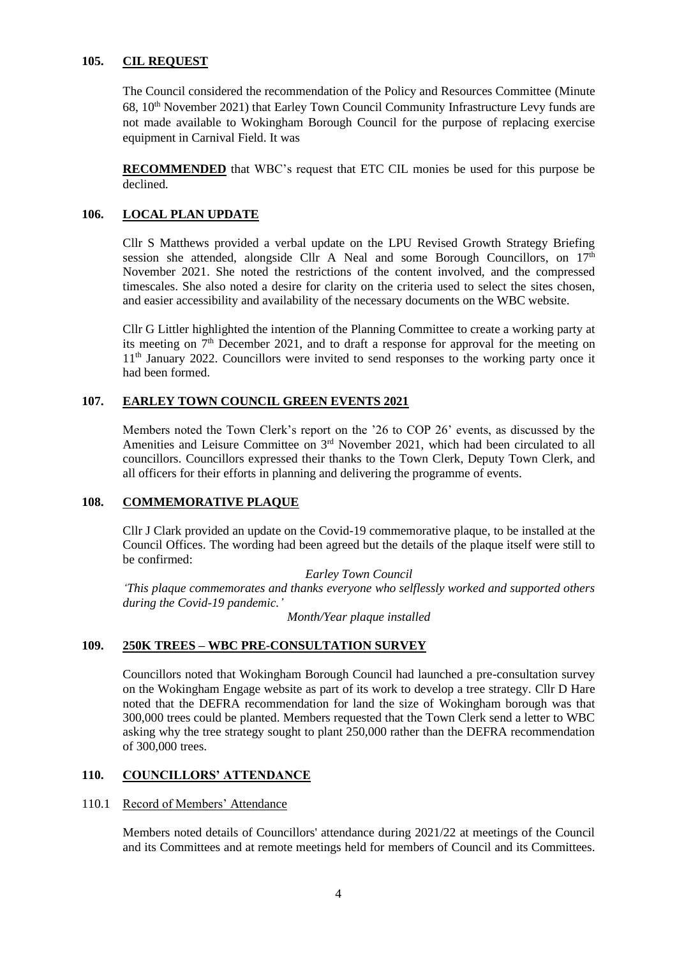## **105. CIL REQUEST**

The Council considered the recommendation of the Policy and Resources Committee (Minute  $68.10<sup>th</sup>$  November 2021) that Earley Town Council Community Infrastructure Levy funds are not made available to Wokingham Borough Council for the purpose of replacing exercise equipment in Carnival Field. It was

**RECOMMENDED** that WBC's request that ETC CIL monies be used for this purpose be declined.

# **106. LOCAL PLAN UPDATE**

Cllr S Matthews provided a verbal update on the LPU Revised Growth Strategy Briefing session she attended, alongside Cllr A Neal and some Borough Councillors, on  $17<sup>th</sup>$ November 2021. She noted the restrictions of the content involved, and the compressed timescales. She also noted a desire for clarity on the criteria used to select the sites chosen, and easier accessibility and availability of the necessary documents on the WBC website.

Cllr G Littler highlighted the intention of the Planning Committee to create a working party at its meeting on  $7<sup>th</sup>$  December 2021, and to draft a response for approval for the meeting on 11<sup>th</sup> January 2022. Councillors were invited to send responses to the working party once it had been formed.

# **107. EARLEY TOWN COUNCIL GREEN EVENTS 2021**

Members noted the Town Clerk's report on the '26 to COP 26' events, as discussed by the Amenities and Leisure Committee on 3<sup>rd</sup> November 2021, which had been circulated to all councillors. Councillors expressed their thanks to the Town Clerk, Deputy Town Clerk, and all officers for their efforts in planning and delivering the programme of events.

### **108. COMMEMORATIVE PLAQUE**

Cllr J Clark provided an update on the Covid-19 commemorative plaque, to be installed at the Council Offices. The wording had been agreed but the details of the plaque itself were still to be confirmed:

*Earley Town Council 'This plaque commemorates and thanks everyone who selflessly worked and supported others during the Covid-19 pandemic.'*

*Month/Year plaque installed*

### **109. 250K TREES – WBC PRE-CONSULTATION SURVEY**

Councillors noted that Wokingham Borough Council had launched a pre-consultation survey on the Wokingham Engage website as part of its work to develop a tree strategy. Cllr D Hare noted that the DEFRA recommendation for land the size of Wokingham borough was that 300,000 trees could be planted. Members requested that the Town Clerk send a letter to WBC asking why the tree strategy sought to plant 250,000 rather than the DEFRA recommendation of 300,000 trees.

### **110. COUNCILLORS' ATTENDANCE**

### 110.1 Record of Members' Attendance

Members noted details of Councillors' attendance during 2021/22 at meetings of the Council and its Committees and at remote meetings held for members of Council and its Committees.